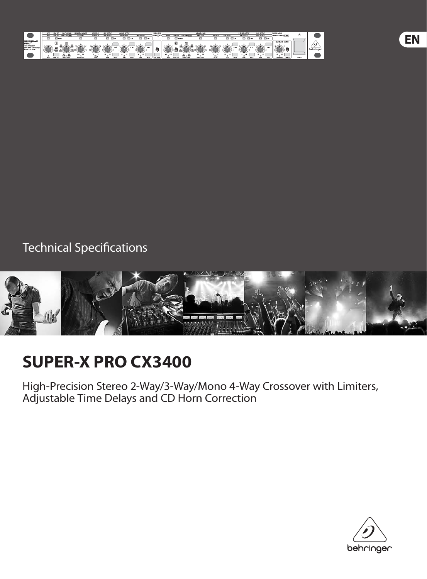

Technical Specifications



# **SUPER-X PRO CX3400**

High-Precision Stereo 2-Way/3-Way/Mono 4-Way Crossover with Limiters, Adjustable Time Delays and CD Horn Correction



EN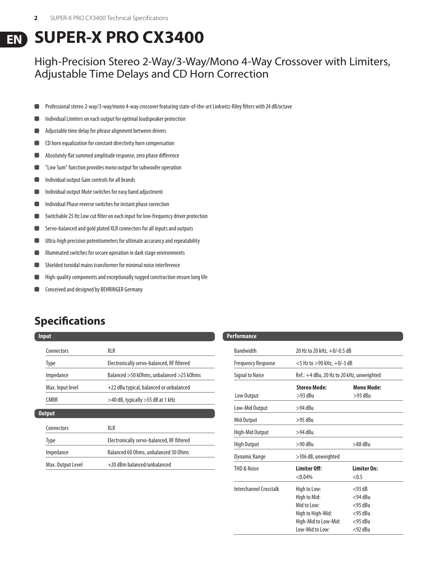### **SUPER-X PRO CX3400 EN**

### High-Precision Stereo 2-Way/3-Way/Mono 4-Way Crossover with Limiters, Adjustable Time Delays and CD Horn Correction

- Professional stereo 2-way/3-way/mono 4-way crossover featuring state-of-the-art Linkwitz-Riley filters with 24 dB/octave  $\blacksquare$
- Individual Limiters on each output for optimal loudspeaker protection п
- Adjustable time delay for phrase alignment between drivers
- CD horn equalization for constant directivity horn compensation  $\blacksquare$
- Absolutely flat summed amplitude response, zero phase difference
- "Low Sum" function provides mono output for subwoofer operation
- Individual output Gain controls for all brands
- Individual output Mute switches for easy band adjustment п
- $\blacksquare$ Individual Phase reverse switches for instant phase correction
- Switchable 25 Hz Low cut filter on each input for low-frequency driver protection  $\blacksquare$
- Servo-balanced and gold plated XLR connectors for all inputs and outputs  $\blacksquare$
- Ultra-high precision potentiometers for ultimate accurancy and repeatability n
- Illuminated switches for secure operation in dark stage environments
- Shielded toroidal mains transformer for minimal noise interference
- п High-quality components and exceptionally rugged construction ensure long life
- Conceived and designed by BEHRINGER Germany

### **Specifications**

| <b>Input</b>      |                                            |
|-------------------|--------------------------------------------|
| Connectors        | XLR                                        |
| Type              | Electronically servo-balanced, RF filtered |
| Impedance         | Balanced > 50 kOhms, unbalanced > 25 kOhms |
| Max. Input level  | +22 dBu typical, balanced or unbalanced    |
| <b>CMRR</b>       | >40 dB, typically >55 dB at 1 kHz          |
| <b>Output</b>     |                                            |
| Connectors        | XLR                                        |
| Type              | Electronically servo-balanced, RF filtered |
| Impedance         | Balanced 60 Ohms, unbalanced 30 Ohms       |
| Max. Output Level | +20 dBm balanced/unbalanced                |

| Performance               |                                                                                                             |                                                                                 |
|---------------------------|-------------------------------------------------------------------------------------------------------------|---------------------------------------------------------------------------------|
| <b>Bandwidth</b>          | 20 Hz to 20 kHz, $+0/-0.5$ dB                                                                               |                                                                                 |
| <b>Frequency Response</b> | $<$ 5 Hz to $>$ 90 kHz, $+$ 0/-3 dB                                                                         |                                                                                 |
| Signal to Noise           | Ref.: +4 dBu, 20 Hz to 20 kHz, unweighted                                                                   |                                                                                 |
| Low Output                | <b>Stereo Mode:</b><br>$>93$ dB $\mu$                                                                       | <b>Mono Mode:</b><br>$>93$ dBu                                                  |
| Low-Mid Output            | $>94$ dBu                                                                                                   |                                                                                 |
| Mid Output                | $>95$ dBu                                                                                                   |                                                                                 |
| High-Mid Output           | $>94$ dBu                                                                                                   |                                                                                 |
| <b>High Output</b>        | $>90$ dBu                                                                                                   | $>88$ dBu                                                                       |
| <b>Dynamic Range</b>      | >106 dB, unweighted                                                                                         |                                                                                 |
| THD & Noise               | Limiter Off:<br>$< 0.04\%$                                                                                  | <b>Limiter On:</b><br>< 0.5                                                     |
| Interchannel Crosstalk    | High to Low:<br>High to Mid:<br>Mid to Low:<br>High to High-Mid:<br>High-Mid to Low-Mid:<br>Low-Mid to Low: | $<$ 93 dB<br>$<$ 94 dBu<br>$<$ 95 dBu<br>$<$ 95 dBu<br>$<$ 95 dBu<br>$<$ 92 dBu |